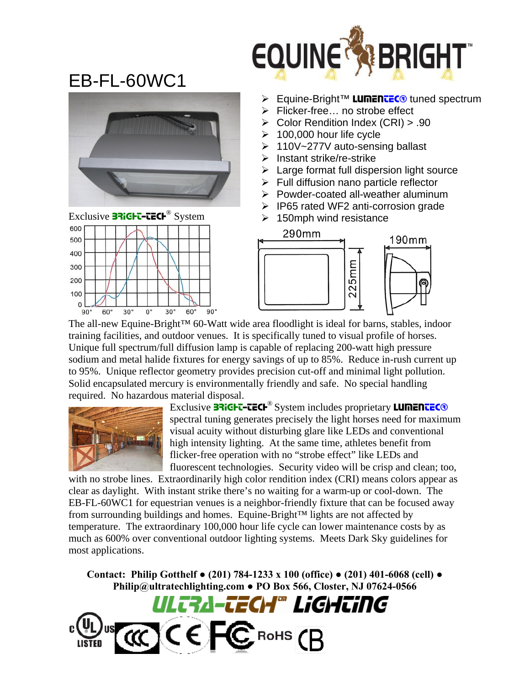

## EB-FL-60WC1





- **Equine-Bright™ LUMENTEC®** tuned spectrum
- $\triangleright$  Flicker-free... no strobe effect
- ¾ Color Rendition Index (CRI) > .90
- $\geq 100,000$  hour life cycle
- ¾ 110V~277V auto-sensing ballast
- $\triangleright$  Instant strike/re-strike
- $\triangleright$  Large format full dispersion light source
- $\triangleright$  Full diffusion nano particle reflector
- ¾ Powder-coated all-weather aluminum
- ¾ IP65 rated WF2 anti-corrosion grade
- $\geq$  150mph wind resistance



The all-new Equine-Bright™ 60-Watt wide area floodlight is ideal for barns, stables, indoor training facilities, and outdoor venues. It is specifically tuned to visual profile of horses. Unique full spectrum/full diffusion lamp is capable of replacing 200-watt high pressure sodium and metal halide fixtures for energy savings of up to 85%. Reduce in-rush current up to 95%. Unique reflector geometry provides precision cut-off and minimal light pollution. Solid encapsulated mercury is environmentally friendly and safe. No special handling required. No hazardous material disposal.



Exclusive **BRIGHT-TECH<sup>®</sup>** System includes proprietary **LUMENTEC®** spectral tuning generates precisely the light horses need for maximum visual acuity without disturbing glare like LEDs and conventional high intensity lighting. At the same time, athletes benefit from flicker-free operation with no "strobe effect" like LEDs and fluorescent technologies. Security video will be crisp and clean; too,

with no strobe lines. Extraordinarily high color rendition index (CRI) means colors appear as clear as daylight. With instant strike there's no waiting for a warm-up or cool-down. The EB-FL-60WC1 for equestrian venues is a neighbor-friendly fixture that can be focused away from surrounding buildings and homes. Equine-Bright™ lights are not affected by temperature. The extraordinary 100,000 hour life cycle can lower maintenance costs by as much as 600% over conventional outdoor lighting systems. Meets Dark Sky guidelines for most applications.

**Contact: Philip Gotthelf ● (201) 784-1233 x 100 (office) ● (201) 401-6068 (cell) ● Philip@ultratechlighting.com ● PO Box 566, Closter, NJ 07624-0566**